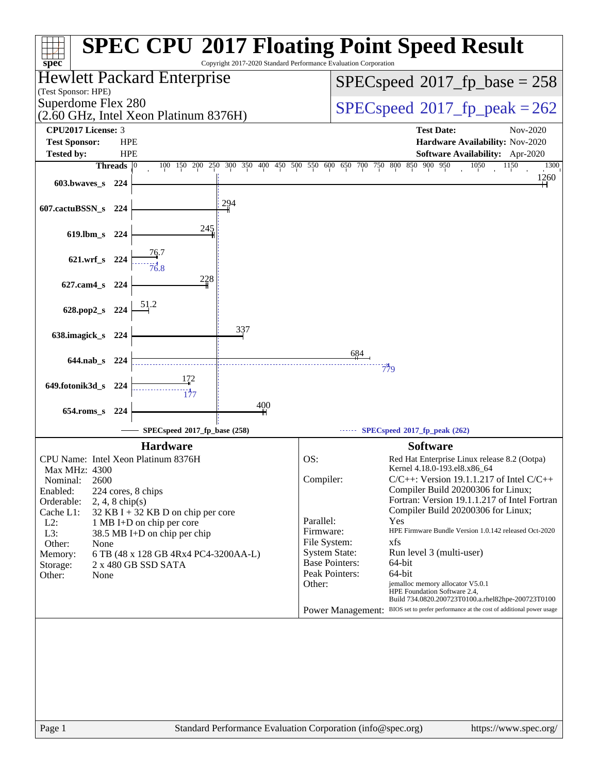| spec <sup>®</sup>                   |                   |                                       | Copyright 2017-2020 Standard Performance Evaluation Corporation |                           |                       | <b>SPEC CPU®2017 Floating Point Speed Result</b>                                                                                             |
|-------------------------------------|-------------------|---------------------------------------|-----------------------------------------------------------------|---------------------------|-----------------------|----------------------------------------------------------------------------------------------------------------------------------------------|
| (Test Sponsor: HPE)                 |                   | <b>Hewlett Packard Enterprise</b>     |                                                                 |                           |                       | $SPEC speed^{\circ}2017\_fp\_base = 258$                                                                                                     |
| Superdome Flex 280                  |                   | (2.60 GHz, Intel Xeon Platinum 8376H) |                                                                 |                           |                       | $SPEC speed^{\circ}2017$ fp peak = 262                                                                                                       |
| <b>CPU2017 License: 3</b>           |                   |                                       |                                                                 |                           |                       | <b>Test Date:</b><br>Nov-2020                                                                                                                |
| <b>Test Sponsor:</b>                | <b>HPE</b>        |                                       |                                                                 |                           |                       | Hardware Availability: Nov-2020                                                                                                              |
| <b>Tested by:</b>                   | <b>HPE</b>        |                                       |                                                                 |                           |                       | Software Availability: Apr-2020                                                                                                              |
|                                     | Threads           | 100 150 200                           | 250 300 350 400 450 500 550 600 650 700 750 800 850 900         |                           |                       | 950<br>1050<br>1300<br>1150                                                                                                                  |
| 603.bwaves s                        | - 224             |                                       |                                                                 |                           |                       | 1260                                                                                                                                         |
| 607.cactuBSSN_s                     | 224               |                                       | 294                                                             |                           |                       |                                                                                                                                              |
| 619.lbm_s 224                       |                   | 245                                   |                                                                 |                           |                       |                                                                                                                                              |
| 621.wrf_s 224                       |                   |                                       |                                                                 |                           |                       |                                                                                                                                              |
| 627.cam4_s 224                      |                   | 228                                   |                                                                 |                           |                       |                                                                                                                                              |
|                                     |                   |                                       |                                                                 |                           |                       |                                                                                                                                              |
| 628.pop2_s 224                      |                   |                                       |                                                                 |                           |                       |                                                                                                                                              |
| 638.imagick_s 224                   |                   |                                       | 337                                                             |                           |                       |                                                                                                                                              |
| $644$ .nab s                        | -224              |                                       |                                                                 |                           |                       |                                                                                                                                              |
|                                     |                   |                                       |                                                                 |                           |                       | 779                                                                                                                                          |
| 649.fotonik3d_s 224                 |                   |                                       |                                                                 |                           |                       |                                                                                                                                              |
|                                     |                   |                                       | 400                                                             |                           |                       |                                                                                                                                              |
| 654.roms_s 224                      |                   |                                       |                                                                 |                           |                       |                                                                                                                                              |
|                                     |                   | SPECspeed®2017_fp_base (258)          |                                                                 |                           |                       | SPECspeed®2017_fp_peak (262)                                                                                                                 |
|                                     |                   | <b>Hardware</b>                       |                                                                 |                           |                       | <b>Software</b>                                                                                                                              |
| CPU Name: Intel Xeon Platinum 8376H |                   |                                       |                                                                 | OS:                       |                       | Red Hat Enterprise Linux release 8.2 (Ootpa)                                                                                                 |
| Max MHz: 4300                       |                   |                                       |                                                                 |                           |                       | Kernel 4.18.0-193.el8.x86 64                                                                                                                 |
| 2600<br>Nominal:                    |                   |                                       |                                                                 | Compiler:                 |                       | $C/C++$ : Version 19.1.1.217 of Intel $C/C++$<br>Compiler Build 20200306 for Linux;                                                          |
| Enabled:<br>Orderable:              | $2, 4, 8$ chip(s) | 224 cores, 8 chips                    |                                                                 |                           |                       | Fortran: Version 19.1.1.217 of Intel Fortran                                                                                                 |
| Cache L1:                           |                   | $32$ KB I + 32 KB D on chip per core  |                                                                 |                           |                       | Compiler Build 20200306 for Linux;                                                                                                           |
| $L2$ :                              |                   | 1 MB I+D on chip per core             |                                                                 | Parallel:                 |                       | Yes<br>HPE Firmware Bundle Version 1.0.142 released Oct-2020                                                                                 |
| L3:<br>Other:<br>None               |                   | 38.5 MB I+D on chip per chip          |                                                                 | Firmware:<br>File System: |                       | xfs                                                                                                                                          |
| Memory:                             |                   | 6 TB (48 x 128 GB 4Rx4 PC4-3200AA-L)  |                                                                 |                           | <b>System State:</b>  | Run level 3 (multi-user)                                                                                                                     |
| Storage:                            |                   | 2 x 480 GB SSD SATA                   |                                                                 |                           | <b>Base Pointers:</b> | 64-bit                                                                                                                                       |
| Other:<br>None                      |                   |                                       |                                                                 |                           | Peak Pointers:        | 64-bit<br>jemalloc memory allocator V5.0.1                                                                                                   |
|                                     |                   |                                       |                                                                 | Other:                    |                       | HPE Foundation Software 2.4,                                                                                                                 |
|                                     |                   |                                       |                                                                 |                           |                       | Build 734.0820.200723T0100.a.rhel82hpe-200723T0100<br>Power Management: BIOS set to prefer performance at the cost of additional power usage |
|                                     |                   |                                       |                                                                 |                           |                       |                                                                                                                                              |
|                                     |                   |                                       |                                                                 |                           |                       |                                                                                                                                              |
|                                     |                   |                                       |                                                                 |                           |                       |                                                                                                                                              |
|                                     |                   |                                       |                                                                 |                           |                       |                                                                                                                                              |
|                                     |                   |                                       |                                                                 |                           |                       |                                                                                                                                              |
|                                     |                   |                                       |                                                                 |                           |                       |                                                                                                                                              |
|                                     |                   |                                       |                                                                 |                           |                       |                                                                                                                                              |
|                                     |                   |                                       |                                                                 |                           |                       |                                                                                                                                              |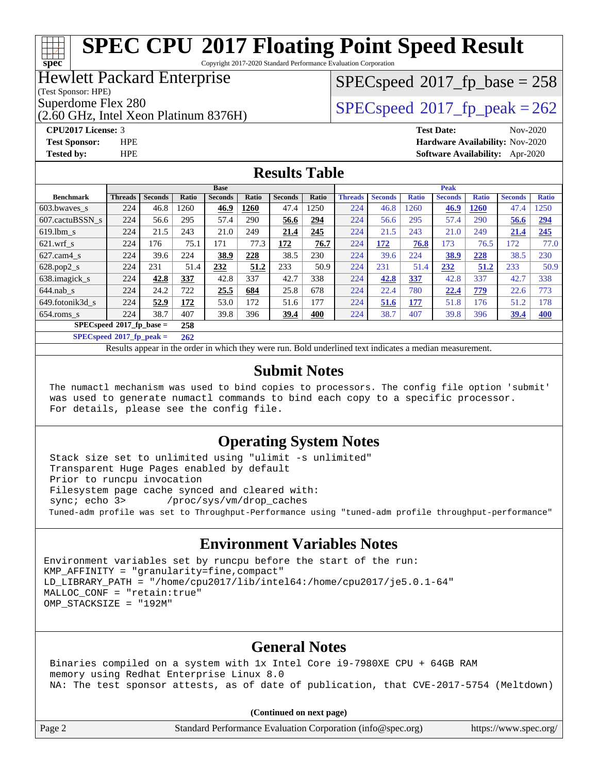Copyright 2017-2020 Standard Performance Evaluation Corporation

#### Hewlett Packard Enterprise

(Test Sponsor: HPE)

**[spec](http://www.spec.org/)**

(2.60 GHz, Intel Xeon Platinum 8376H)

 $SPEC speed^{\circ}2017\_fp\_base = 258$ 

Superdome Flex 280<br>  $SPEC speed^{\circ}2017$  fp\_peak = 262

**[CPU2017 License:](http://www.spec.org/auto/cpu2017/Docs/result-fields.html#CPU2017License)** 3 **[Test Date:](http://www.spec.org/auto/cpu2017/Docs/result-fields.html#TestDate)** Nov-2020 **[Test Sponsor:](http://www.spec.org/auto/cpu2017/Docs/result-fields.html#TestSponsor)** HPE **[Hardware Availability:](http://www.spec.org/auto/cpu2017/Docs/result-fields.html#HardwareAvailability)** Nov-2020 **[Tested by:](http://www.spec.org/auto/cpu2017/Docs/result-fields.html#Testedby)** HPE **[Software Availability:](http://www.spec.org/auto/cpu2017/Docs/result-fields.html#SoftwareAvailability)** Apr-2020

#### **[Results Table](http://www.spec.org/auto/cpu2017/Docs/result-fields.html#ResultsTable)**

|                                   | <b>Base</b>    |                |       |                | <b>Peak</b> |                |       |                |                |              |                |              |                |              |
|-----------------------------------|----------------|----------------|-------|----------------|-------------|----------------|-------|----------------|----------------|--------------|----------------|--------------|----------------|--------------|
| <b>Benchmark</b>                  | <b>Threads</b> | <b>Seconds</b> | Ratio | <b>Seconds</b> | Ratio       | <b>Seconds</b> | Ratio | <b>Threads</b> | <b>Seconds</b> | <b>Ratio</b> | <b>Seconds</b> | <b>Ratio</b> | <b>Seconds</b> | <b>Ratio</b> |
| 603.bwayes s                      | 224            | 46.8           | 1260  | 46.9           | 1260        | 47.4           | 1250  | 224            | 46.8           | 1260         | 46.9           | <b>1260</b>  | 47.4           | 1250         |
| 607.cactuBSSN s                   | 224            | 56.6           | 295   | 57.4           | 290         | 56.6           | 294   | 224            | 56.6           | 295          | 57.4           | 290          | 56.6           | <u>294</u>   |
| $619.$ lbm s                      | 224            | 21.5           | 243   | 21.0           | 249         | 21.4           | 245   | 224            | 21.5           | 243          | 21.0           | 249          | 21.4           | 245          |
| $621$ .wrf s                      | 224            | 176            | 75.1  | 171            | 77.3        | 172            | 76.7  | 224            | 172            | 76.8         | 173            | 76.5         | 172            | 77.0         |
| $627$ .cam $4 \text{ s}$          | 224            | 39.6           | 224   | 38.9           | 228         | 38.5           | 230   | 224            | 39.6           | 224          | 38.9           | 228          | 38.5           | 230          |
| $628.pop2_s$                      | 224            | 231            | 51.4  | 232            | 51.2        | 233            | 50.9  | 224            | 231            | 51.4         | 232            | 51.2         | 233            | 50.9         |
| 638. imagick s                    | 224            | 42.8           | 337   | 42.8           | 337         | 42.7           | 338   | 224            | 42.8           | 337          | 42.8           | 337          | 42.7           | 338          |
| $644$ .nab s                      | 224            | 24.2           | 722   | 25.5           | 684         | 25.8           | 678   | 224            | 22.4           | 780          | 22.4           | 779          | 22.6           | 773          |
| 649.fotonik3d s                   | 224            | 52.9           | 172   | 53.0           | 172         | 51.6           | 177   | 224            | 51.6           | 177          | 51.8           | 176          | 51.2           | 178          |
| $654$ .roms s                     | 224            | 38.7           | 407   | 39.8           | 396         | 39.4           | 400   | 224            | 38.7           | 407          | 39.8           | 396          | 39.4           | <b>400</b>   |
| $SPECspeed*2017_fp\_base =$       |                |                | 258   |                |             |                |       |                |                |              |                |              |                |              |
| $SPECspeed^{\circ}2017$ fp peak = |                |                | 262   |                |             |                |       |                |                |              |                |              |                |              |

Results appear in the [order in which they were run](http://www.spec.org/auto/cpu2017/Docs/result-fields.html#RunOrder). Bold underlined text [indicates a median measurement](http://www.spec.org/auto/cpu2017/Docs/result-fields.html#Median).

#### **[Submit Notes](http://www.spec.org/auto/cpu2017/Docs/result-fields.html#SubmitNotes)**

 The numactl mechanism was used to bind copies to processors. The config file option 'submit' was used to generate numactl commands to bind each copy to a specific processor. For details, please see the config file.

#### **[Operating System Notes](http://www.spec.org/auto/cpu2017/Docs/result-fields.html#OperatingSystemNotes)**

 Stack size set to unlimited using "ulimit -s unlimited" Transparent Huge Pages enabled by default Prior to runcpu invocation Filesystem page cache synced and cleared with: sync; echo 3> /proc/sys/vm/drop\_caches Tuned-adm profile was set to Throughput-Performance using "tuned-adm profile throughput-performance"

#### **[Environment Variables Notes](http://www.spec.org/auto/cpu2017/Docs/result-fields.html#EnvironmentVariablesNotes)**

Environment variables set by runcpu before the start of the run:  $KMP$  AFFINITY = "granularity=fine, compact" LD\_LIBRARY\_PATH = "/home/cpu2017/lib/intel64:/home/cpu2017/je5.0.1-64" MALLOC\_CONF = "retain:true" OMP\_STACKSIZE = "192M"

#### **[General Notes](http://www.spec.org/auto/cpu2017/Docs/result-fields.html#GeneralNotes)**

 Binaries compiled on a system with 1x Intel Core i9-7980XE CPU + 64GB RAM memory using Redhat Enterprise Linux 8.0 NA: The test sponsor attests, as of date of publication, that CVE-2017-5754 (Meltdown)

**(Continued on next page)**

Page 2 Standard Performance Evaluation Corporation [\(info@spec.org\)](mailto:info@spec.org) <https://www.spec.org/>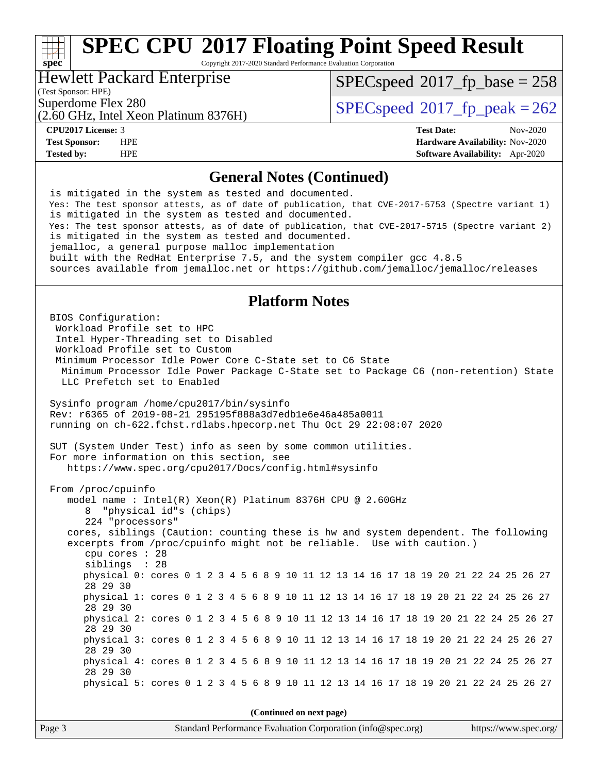Copyright 2017-2020 Standard Performance Evaluation Corporation

#### Hewlett Packard Enterprise

(2.60 GHz, Intel Xeon Platinum 8376H)

(Test Sponsor: HPE)

**[spec](http://www.spec.org/)**<sup>®</sup>

 $SPEC speed^{\circ}2017\_fp\_base = 258$ 

Superdome Flex 280<br>  $SPEC speed^{\circ}2017$  fp\_peak = 262

**[CPU2017 License:](http://www.spec.org/auto/cpu2017/Docs/result-fields.html#CPU2017License)** 3 **[Test Date:](http://www.spec.org/auto/cpu2017/Docs/result-fields.html#TestDate)** Nov-2020 **[Test Sponsor:](http://www.spec.org/auto/cpu2017/Docs/result-fields.html#TestSponsor)** HPE **[Hardware Availability:](http://www.spec.org/auto/cpu2017/Docs/result-fields.html#HardwareAvailability)** Nov-2020 **[Tested by:](http://www.spec.org/auto/cpu2017/Docs/result-fields.html#Testedby)** HPE **[Software Availability:](http://www.spec.org/auto/cpu2017/Docs/result-fields.html#SoftwareAvailability)** Apr-2020

#### **[General Notes \(Continued\)](http://www.spec.org/auto/cpu2017/Docs/result-fields.html#GeneralNotes)**

 is mitigated in the system as tested and documented. Yes: The test sponsor attests, as of date of publication, that CVE-2017-5753 (Spectre variant 1) is mitigated in the system as tested and documented. Yes: The test sponsor attests, as of date of publication, that CVE-2017-5715 (Spectre variant 2) is mitigated in the system as tested and documented. jemalloc, a general purpose malloc implementation built with the RedHat Enterprise 7.5, and the system compiler gcc 4.8.5 sources available from jemalloc.net or<https://github.com/jemalloc/jemalloc/releases>

#### **[Platform Notes](http://www.spec.org/auto/cpu2017/Docs/result-fields.html#PlatformNotes)**

 BIOS Configuration: Workload Profile set to HPC Intel Hyper-Threading set to Disabled Workload Profile set to Custom Minimum Processor Idle Power Core C-State set to C6 State Minimum Processor Idle Power Package C-State set to Package C6 (non-retention) State LLC Prefetch set to Enabled Sysinfo program /home/cpu2017/bin/sysinfo Rev: r6365 of 2019-08-21 295195f888a3d7edb1e6e46a485a0011 running on ch-622.fchst.rdlabs.hpecorp.net Thu Oct 29 22:08:07 2020 SUT (System Under Test) info as seen by some common utilities. For more information on this section, see <https://www.spec.org/cpu2017/Docs/config.html#sysinfo> From /proc/cpuinfo model name : Intel(R) Xeon(R) Platinum 8376H CPU @ 2.60GHz 8 "physical id"s (chips) 224 "processors" cores, siblings (Caution: counting these is hw and system dependent. The following excerpts from /proc/cpuinfo might not be reliable. Use with caution.) cpu cores : 28 siblings : 28 physical 0: cores 0 1 2 3 4 5 6 8 9 10 11 12 13 14 16 17 18 19 20 21 22 24 25 26 27 28 29 30 physical 1: cores 0 1 2 3 4 5 6 8 9 10 11 12 13 14 16 17 18 19 20 21 22 24 25 26 27 28 29 30 physical 2: cores 0 1 2 3 4 5 6 8 9 10 11 12 13 14 16 17 18 19 20 21 22 24 25 26 27 28 29 30 physical 3: cores 0 1 2 3 4 5 6 8 9 10 11 12 13 14 16 17 18 19 20 21 22 24 25 26 27 28 29 30 physical 4: cores 0 1 2 3 4 5 6 8 9 10 11 12 13 14 16 17 18 19 20 21 22 24 25 26 27 28 29 30 physical 5: cores 0 1 2 3 4 5 6 8 9 10 11 12 13 14 16 17 18 19 20 21 22 24 25 26 27 **(Continued on next page)**

Page 3 Standard Performance Evaluation Corporation [\(info@spec.org\)](mailto:info@spec.org) <https://www.spec.org/>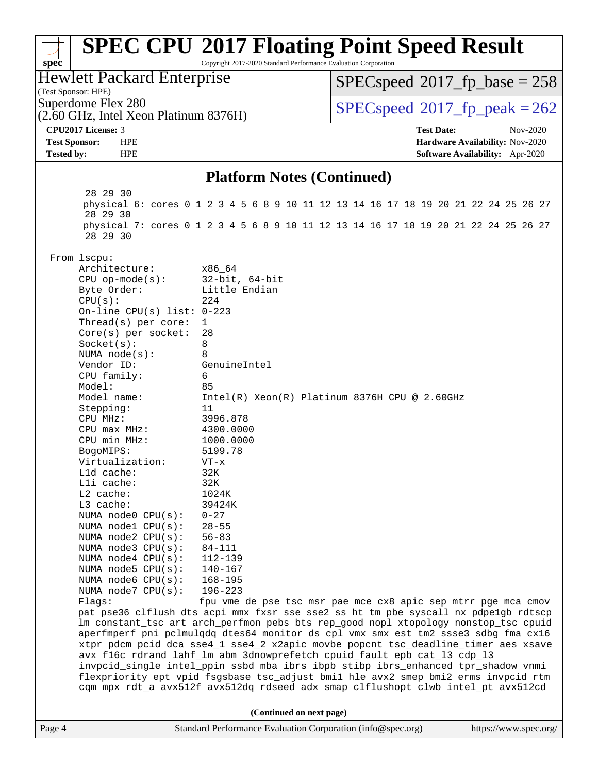#### Page 4 Standard Performance Evaluation Corporation [\(info@spec.org\)](mailto:info@spec.org) <https://www.spec.org/> **[spec](http://www.spec.org/) [SPEC CPU](http://www.spec.org/auto/cpu2017/Docs/result-fields.html#SPECCPU2017FloatingPointSpeedResult)[2017 Floating Point Speed Result](http://www.spec.org/auto/cpu2017/Docs/result-fields.html#SPECCPU2017FloatingPointSpeedResult)** Copyright 2017-2020 Standard Performance Evaluation Corporation (Test Sponsor: HPE) Hewlett Packard Enterprise (2.60 GHz, Intel Xeon Platinum 8376H) Superdome Flex 280<br>  $SPEC speed^{\circ}2017$  fp\_peak = 262 [SPECspeed](http://www.spec.org/auto/cpu2017/Docs/result-fields.html#SPECspeed2017fpbase)<sup>®</sup>2017 fp base = 258 **[CPU2017 License:](http://www.spec.org/auto/cpu2017/Docs/result-fields.html#CPU2017License)** 3 **[Test Date:](http://www.spec.org/auto/cpu2017/Docs/result-fields.html#TestDate)** Nov-2020 **[Test Sponsor:](http://www.spec.org/auto/cpu2017/Docs/result-fields.html#TestSponsor)** HPE **[Hardware Availability:](http://www.spec.org/auto/cpu2017/Docs/result-fields.html#HardwareAvailability)** Nov-2020 **[Tested by:](http://www.spec.org/auto/cpu2017/Docs/result-fields.html#Testedby)** HPE **[Software Availability:](http://www.spec.org/auto/cpu2017/Docs/result-fields.html#SoftwareAvailability)** Apr-2020 **[Platform Notes \(Continued\)](http://www.spec.org/auto/cpu2017/Docs/result-fields.html#PlatformNotes)** 28 29 30 physical 6: cores 0 1 2 3 4 5 6 8 9 10 11 12 13 14 16 17 18 19 20 21 22 24 25 26 27 28 29 30 physical 7: cores 0 1 2 3 4 5 6 8 9 10 11 12 13 14 16 17 18 19 20 21 22 24 25 26 27 28 29 30 From lscpu: Architecture: x86\_64 CPU op-mode(s): 32-bit, 64-bit Byte Order: Little Endian  $CPU(s):$  224 On-line CPU(s) list: 0-223 Thread(s) per core: 1 Core(s) per socket: 28 Socket(s): 8 NUMA node(s): 8 Vendor ID: GenuineIntel CPU family: 6 Model: 85 Model name: Intel(R) Xeon(R) Platinum 8376H CPU @ 2.60GHz Stepping: 11 CPU MHz: 3996.878 CPU max MHz: 4300.0000 CPU min MHz: 1000.0000 BogoMIPS: 5199.78 Virtualization: VT-x L1d cache: 32K L1i cache: 32K L2 cache: 1024K L3 cache: 39424K<br>NUMA node0 CPU(s): 0-27 NUMA  $node0$   $CPU(s):$  NUMA node1 CPU(s): 28-55 NUMA node2 CPU(s): 56-83 NUMA node3 CPU(s): 84-111 NUMA node4 CPU(s): 112-139 NUMA node5 CPU(s): 140-167 NUMA node6 CPU(s): 168-195 NUMA node7 CPU(s): 196-223 Flags: fpu vme de pse tsc msr pae mce cx8 apic sep mtrr pge mca cmov pat pse36 clflush dts acpi mmx fxsr sse sse2 ss ht tm pbe syscall nx pdpe1gb rdtscp lm constant\_tsc art arch\_perfmon pebs bts rep\_good nopl xtopology nonstop\_tsc cpuid aperfmperf pni pclmulqdq dtes64 monitor ds\_cpl vmx smx est tm2 ssse3 sdbg fma cx16 xtpr pdcm pcid dca sse4\_1 sse4\_2 x2apic movbe popcnt tsc\_deadline\_timer aes xsave avx f16c rdrand lahf\_lm abm 3dnowprefetch cpuid\_fault epb cat\_l3 cdp\_l3 invpcid\_single intel\_ppin ssbd mba ibrs ibpb stibp ibrs\_enhanced tpr\_shadow vnmi flexpriority ept vpid fsgsbase tsc\_adjust bmi1 hle avx2 smep bmi2 erms invpcid rtm cqm mpx rdt\_a avx512f avx512dq rdseed adx smap clflushopt clwb intel\_pt avx512cd **(Continued on next page)**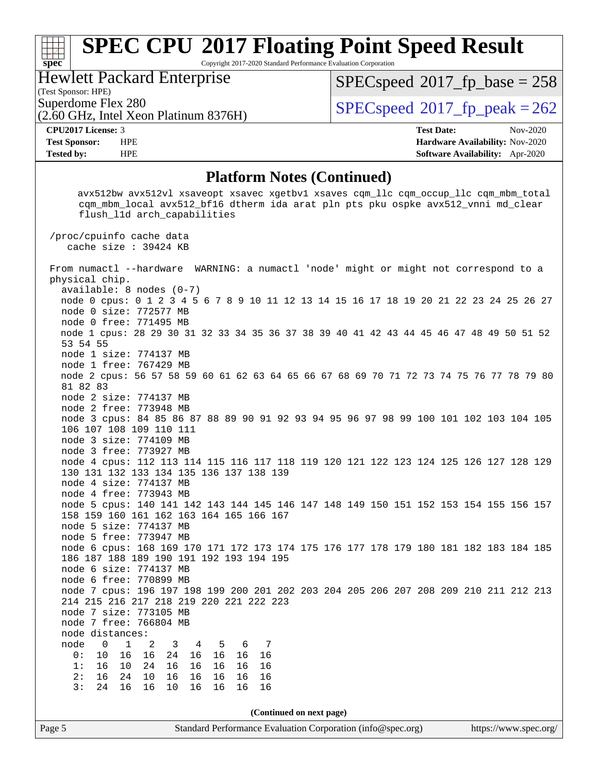Copyright 2017-2020 Standard Performance Evaluation Corporation

Hewlett Packard Enterprise

(Test Sponsor: HPE)

**[spec](http://www.spec.org/)**

[SPECspeed](http://www.spec.org/auto/cpu2017/Docs/result-fields.html#SPECspeed2017fpbase)<sup>®</sup>2017 fp base = 258

(2.60 GHz, Intel Xeon Platinum 8376H)

Superdome Flex 280<br> $\overline{SPECspeed}^{\otimes}2017$  $\overline{SPECspeed}^{\otimes}2017$  $\overline{SPECspeed}^{\otimes}2017$ \_fp\_peak = 262

**[CPU2017 License:](http://www.spec.org/auto/cpu2017/Docs/result-fields.html#CPU2017License)** 3 **[Test Date:](http://www.spec.org/auto/cpu2017/Docs/result-fields.html#TestDate)** Nov-2020 **[Test Sponsor:](http://www.spec.org/auto/cpu2017/Docs/result-fields.html#TestSponsor)** HPE **[Hardware Availability:](http://www.spec.org/auto/cpu2017/Docs/result-fields.html#HardwareAvailability)** Nov-2020 **[Tested by:](http://www.spec.org/auto/cpu2017/Docs/result-fields.html#Testedby)** HPE **[Software Availability:](http://www.spec.org/auto/cpu2017/Docs/result-fields.html#SoftwareAvailability)** Apr-2020

#### **[Platform Notes \(Continued\)](http://www.spec.org/auto/cpu2017/Docs/result-fields.html#PlatformNotes)**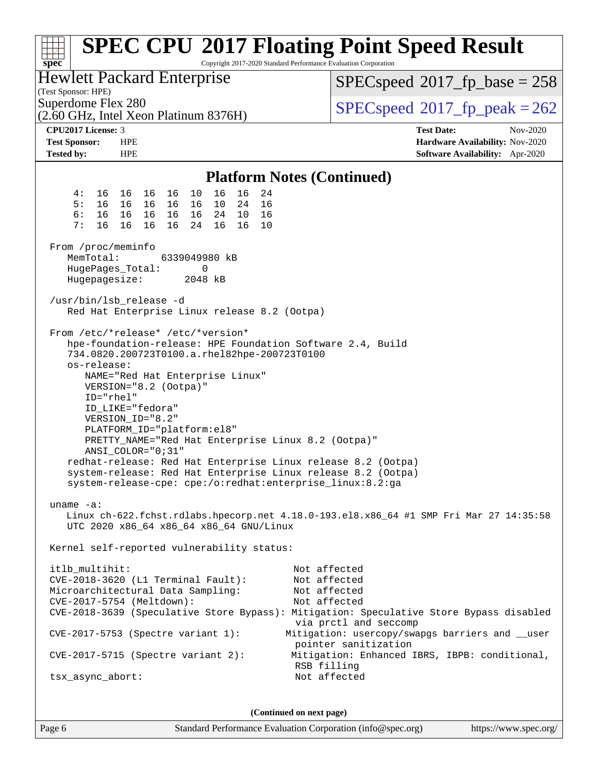| Copyright 2017-2020 Standard Performance Evaluation Corporation<br>spec <sup>®</sup>                                                                                                                                                                                                                                                                                                                                                                                                                                                                                                                                                                                                            | <b>SPEC CPU®2017 Floating Point Speed Result</b>                                       |
|-------------------------------------------------------------------------------------------------------------------------------------------------------------------------------------------------------------------------------------------------------------------------------------------------------------------------------------------------------------------------------------------------------------------------------------------------------------------------------------------------------------------------------------------------------------------------------------------------------------------------------------------------------------------------------------------------|----------------------------------------------------------------------------------------|
| <b>Hewlett Packard Enterprise</b><br>(Test Sponsor: HPE)                                                                                                                                                                                                                                                                                                                                                                                                                                                                                                                                                                                                                                        | $SPEC speed^{\circ}2017\_fp\_base = 258$                                               |
| Superdome Flex 280<br>(2.60 GHz, Intel Xeon Platinum 8376H)                                                                                                                                                                                                                                                                                                                                                                                                                                                                                                                                                                                                                                     | $SPEC speed^{\circ}2017$ fp peak = 262                                                 |
| <b>CPU2017 License: 3</b>                                                                                                                                                                                                                                                                                                                                                                                                                                                                                                                                                                                                                                                                       | <b>Test Date:</b><br>Nov-2020                                                          |
| <b>Test Sponsor:</b><br><b>HPE</b>                                                                                                                                                                                                                                                                                                                                                                                                                                                                                                                                                                                                                                                              | Hardware Availability: Nov-2020                                                        |
| <b>Tested by:</b><br><b>HPE</b>                                                                                                                                                                                                                                                                                                                                                                                                                                                                                                                                                                                                                                                                 | <b>Software Availability:</b> Apr-2020                                                 |
| <b>Platform Notes (Continued)</b>                                                                                                                                                                                                                                                                                                                                                                                                                                                                                                                                                                                                                                                               |                                                                                        |
| 16 16<br>16<br>16<br>24<br>4 :<br>16 16<br>10                                                                                                                                                                                                                                                                                                                                                                                                                                                                                                                                                                                                                                                   |                                                                                        |
| 5:<br>16<br>16<br>16 16<br>10<br>24<br>16<br>16                                                                                                                                                                                                                                                                                                                                                                                                                                                                                                                                                                                                                                                 |                                                                                        |
| 6:<br>16<br>16 16<br>24<br>10<br>16<br>16<br>16                                                                                                                                                                                                                                                                                                                                                                                                                                                                                                                                                                                                                                                 |                                                                                        |
| 7:<br>16<br>16<br>16 16<br>16<br>16<br>24<br>10                                                                                                                                                                                                                                                                                                                                                                                                                                                                                                                                                                                                                                                 |                                                                                        |
| From /proc/meminfo                                                                                                                                                                                                                                                                                                                                                                                                                                                                                                                                                                                                                                                                              |                                                                                        |
| MemTotal:<br>6339049980 kB<br>HugePages_Total:<br>0                                                                                                                                                                                                                                                                                                                                                                                                                                                                                                                                                                                                                                             |                                                                                        |
| Hugepagesize:<br>2048 kB                                                                                                                                                                                                                                                                                                                                                                                                                                                                                                                                                                                                                                                                        |                                                                                        |
|                                                                                                                                                                                                                                                                                                                                                                                                                                                                                                                                                                                                                                                                                                 |                                                                                        |
| /usr/bin/lsb_release -d<br>Red Hat Enterprise Linux release 8.2 (Ootpa)                                                                                                                                                                                                                                                                                                                                                                                                                                                                                                                                                                                                                         |                                                                                        |
| From /etc/*release* /etc/*version*<br>hpe-foundation-release: HPE Foundation Software 2.4, Build<br>734.0820.200723T0100.a.rhel82hpe-200723T0100<br>os-release:<br>NAME="Red Hat Enterprise Linux"<br>VERSION="8.2 (Ootpa)"<br>ID="rhel"<br>ID_LIKE="fedora"<br>VERSION_ID="8.2"<br>PLATFORM_ID="platform:el8"<br>PRETTY_NAME="Red Hat Enterprise Linux 8.2 (Ootpa)"<br>ANSI_COLOR="0;31"<br>redhat-release: Red Hat Enterprise Linux release 8.2 (Ootpa)<br>system-release: Red Hat Enterprise Linux release 8.2 (Ootpa)<br>system-release-cpe: cpe:/o:redhat:enterprise_linux:8.2:ga<br>uname $-a$ :<br>UTC 2020 x86_64 x86_64 x86_64 GNU/Linux<br>Kernel self-reported vulnerability status: | Linux ch-622.fchst.rdlabs.hpecorp.net 4.18.0-193.el8.x86_64 #1 SMP Fri Mar 27 14:35:58 |
| itlb_multihit:                                                                                                                                                                                                                                                                                                                                                                                                                                                                                                                                                                                                                                                                                  | Not affected                                                                           |
| CVE-2018-3620 (L1 Terminal Fault):                                                                                                                                                                                                                                                                                                                                                                                                                                                                                                                                                                                                                                                              | Not affected                                                                           |
| Microarchitectural Data Sampling:                                                                                                                                                                                                                                                                                                                                                                                                                                                                                                                                                                                                                                                               | Not affected                                                                           |
| CVE-2017-5754 (Meltdown):                                                                                                                                                                                                                                                                                                                                                                                                                                                                                                                                                                                                                                                                       | Not affected                                                                           |
| CVE-2018-3639 (Speculative Store Bypass): Mitigation: Speculative Store Bypass disabled                                                                                                                                                                                                                                                                                                                                                                                                                                                                                                                                                                                                         | via prctl and seccomp                                                                  |
| $CVE-2017-5753$ (Spectre variant 1):                                                                                                                                                                                                                                                                                                                                                                                                                                                                                                                                                                                                                                                            | Mitigation: usercopy/swapgs barriers and __user<br>pointer sanitization                |
| $CVE-2017-5715$ (Spectre variant 2):                                                                                                                                                                                                                                                                                                                                                                                                                                                                                                                                                                                                                                                            | Mitigation: Enhanced IBRS, IBPB: conditional,<br>RSB filling                           |
| tsx_async_abort:                                                                                                                                                                                                                                                                                                                                                                                                                                                                                                                                                                                                                                                                                | Not affected                                                                           |
|                                                                                                                                                                                                                                                                                                                                                                                                                                                                                                                                                                                                                                                                                                 |                                                                                        |

**(Continued on next page)**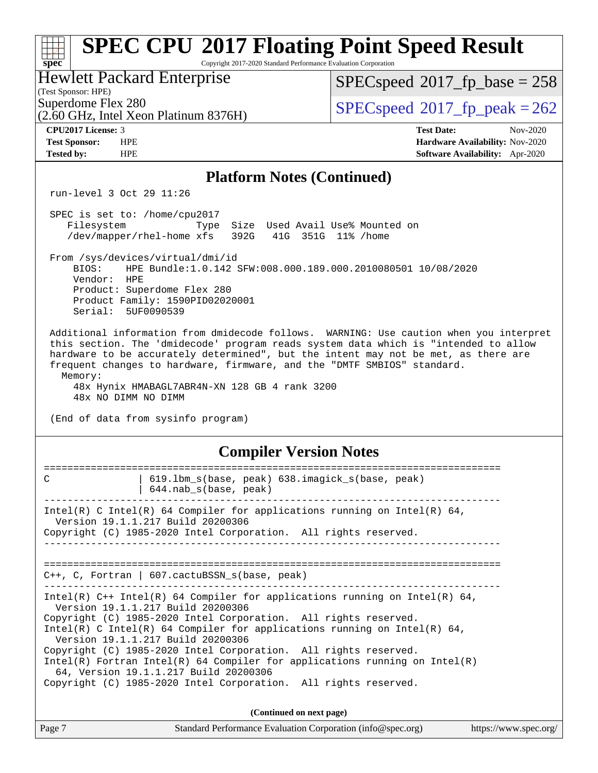| $spec^*$                | <b>SPEC CPU®2017 Floating Point Speed Result</b><br>Copyright 2017-2020 Standard Performance Evaluation Corporation                                                                                                                                                                                                                                                                                                                                                                                                                                                  |                                                                                        |
|-------------------------|----------------------------------------------------------------------------------------------------------------------------------------------------------------------------------------------------------------------------------------------------------------------------------------------------------------------------------------------------------------------------------------------------------------------------------------------------------------------------------------------------------------------------------------------------------------------|----------------------------------------------------------------------------------------|
| (Test Sponsor: HPE)     | <b>Hewlett Packard Enterprise</b>                                                                                                                                                                                                                                                                                                                                                                                                                                                                                                                                    | $SPEC speed^{\circ}2017$ fp base = 258                                                 |
| Superdome Flex 280      | (2.60 GHz, Intel Xeon Platinum 8376H)                                                                                                                                                                                                                                                                                                                                                                                                                                                                                                                                | $SPEC speed^{\circ}2017$ _fp_peak = 262                                                |
| CPU2017 License: 3      |                                                                                                                                                                                                                                                                                                                                                                                                                                                                                                                                                                      | <b>Test Date:</b><br>Nov-2020                                                          |
| <b>Test Sponsor:</b>    | <b>HPE</b>                                                                                                                                                                                                                                                                                                                                                                                                                                                                                                                                                           | Hardware Availability: Nov-2020                                                        |
| <b>Tested by:</b>       | <b>HPE</b>                                                                                                                                                                                                                                                                                                                                                                                                                                                                                                                                                           | Software Availability: Apr-2020                                                        |
|                         | <b>Platform Notes (Continued)</b>                                                                                                                                                                                                                                                                                                                                                                                                                                                                                                                                    |                                                                                        |
|                         | run-level 3 Oct 29 11:26                                                                                                                                                                                                                                                                                                                                                                                                                                                                                                                                             |                                                                                        |
| Filesystem              | SPEC is set to: /home/cpu2017<br>Size Used Avail Use% Mounted on<br>Type<br>/dev/mapper/rhel-home xfs<br>392G                                                                                                                                                                                                                                                                                                                                                                                                                                                        | 41G 351G 11% / home                                                                    |
| BIOS:<br>Vendor:        | From /sys/devices/virtual/dmi/id<br>HPE Bundle:1.0.142 SFW:008.000.189.000.2010080501 10/08/2020<br>HPE<br>Product: Superdome Flex 280<br>Product Family: 1590PID02020001<br>Serial: 5UF0090539                                                                                                                                                                                                                                                                                                                                                                      |                                                                                        |
| Memory:                 | this section. The 'dmidecode' program reads system data which is "intended to allow<br>hardware to be accurately determined", but the intent may not be met, as there are<br>frequent changes to hardware, firmware, and the "DMTF SMBIOS" standard.<br>48x Hynix HMABAGL7ABR4N-XN 128 GB 4 rank 3200<br>48x NO DIMM NO DIMM<br>(End of data from sysinfo program)                                                                                                                                                                                                   | Additional information from dmidecode follows. WARNING: Use caution when you interpret |
|                         | <b>Compiler Version Notes</b>                                                                                                                                                                                                                                                                                                                                                                                                                                                                                                                                        |                                                                                        |
| =======<br>$\mathsf{C}$ | 619.1bm_s(base, peak) 638.imagick_s(base, peak)<br>644.nab s(base, peak)                                                                                                                                                                                                                                                                                                                                                                                                                                                                                             | =========                                                                              |
|                         | Intel(R) C Intel(R) 64 Compiler for applications running on Intel(R) 64,<br>Version 19.1.1.217 Build 20200306<br>Copyright (C) 1985-2020 Intel Corporation. All rights reserved.                                                                                                                                                                                                                                                                                                                                                                                     |                                                                                        |
|                         | $C++$ , C, Fortran   607.cactuBSSN_s(base, peak)                                                                                                                                                                                                                                                                                                                                                                                                                                                                                                                     |                                                                                        |
|                         | Intel(R) $C++$ Intel(R) 64 Compiler for applications running on Intel(R) 64,<br>Version 19.1.1.217 Build 20200306<br>Copyright (C) 1985-2020 Intel Corporation. All rights reserved.<br>Intel(R) C Intel(R) 64 Compiler for applications running on Intel(R) 64,<br>Version 19.1.1.217 Build 20200306<br>Copyright (C) 1985-2020 Intel Corporation. All rights reserved.<br>$Intel(R)$ Fortran Intel(R) 64 Compiler for applications running on Intel(R)<br>64, Version 19.1.1.217 Build 20200306<br>Copyright (C) 1985-2020 Intel Corporation. All rights reserved. |                                                                                        |
|                         |                                                                                                                                                                                                                                                                                                                                                                                                                                                                                                                                                                      |                                                                                        |
|                         | (Continued on next page)<br>Standard Darfamouse Evaluation Compution (info@ence.com)                                                                                                                                                                                                                                                                                                                                                                                                                                                                                 |                                                                                        |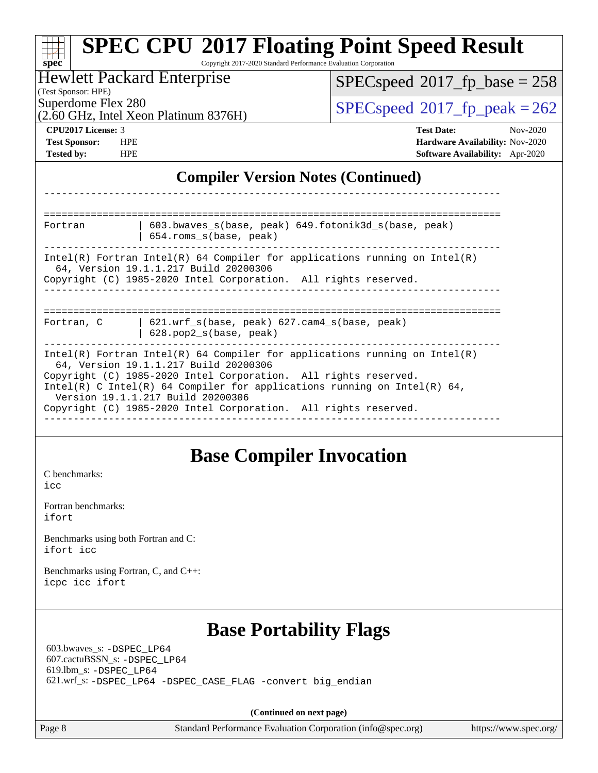| $spec^*$                                                                            | Copyright 2017-2020 Standard Performance Evaluation Corporation                                                                                                                                                                                                                                                                                                              | <b>SPEC CPU®2017 Floating Point Speed Result</b>                                                    |  |  |  |  |
|-------------------------------------------------------------------------------------|------------------------------------------------------------------------------------------------------------------------------------------------------------------------------------------------------------------------------------------------------------------------------------------------------------------------------------------------------------------------------|-----------------------------------------------------------------------------------------------------|--|--|--|--|
|                                                                                     | <b>Hewlett Packard Enterprise</b>                                                                                                                                                                                                                                                                                                                                            | $SPEC speed^{\circ}2017$ [p_base = 258                                                              |  |  |  |  |
| (Test Sponsor: HPE)<br>Superdome Flex 280                                           |                                                                                                                                                                                                                                                                                                                                                                              | $SPEC speed^{\circ}2017$ _fp_peak = 262                                                             |  |  |  |  |
|                                                                                     | (2.60 GHz, Intel Xeon Platinum 8376H)                                                                                                                                                                                                                                                                                                                                        |                                                                                                     |  |  |  |  |
| CPU2017 License: 3<br><b>Test Sponsor:</b><br><b>Tested by:</b><br><b>HPE</b>       | <b>HPE</b>                                                                                                                                                                                                                                                                                                                                                                   | <b>Test Date:</b><br>Nov-2020<br>Hardware Availability: Nov-2020<br>Software Availability: Apr-2020 |  |  |  |  |
|                                                                                     | <b>Compiler Version Notes (Continued)</b>                                                                                                                                                                                                                                                                                                                                    |                                                                                                     |  |  |  |  |
|                                                                                     |                                                                                                                                                                                                                                                                                                                                                                              |                                                                                                     |  |  |  |  |
| Fortran                                                                             | 603.bwaves_s(base, peak) 649.fotonik3d_s(base, peak)<br>654.roms_s(base, peak)                                                                                                                                                                                                                                                                                               |                                                                                                     |  |  |  |  |
|                                                                                     | $Intel(R)$ Fortran Intel(R) 64 Compiler for applications running on Intel(R)<br>64, Version 19.1.1.217 Build 20200306<br>Copyright (C) 1985-2020 Intel Corporation. All rights reserved.                                                                                                                                                                                     |                                                                                                     |  |  |  |  |
| Fortran, C                                                                          | 621.wrf_s(base, peak) 627.cam4_s(base, peak)<br>628.pop2_s(base, peak)                                                                                                                                                                                                                                                                                                       |                                                                                                     |  |  |  |  |
|                                                                                     | $Intel(R)$ Fortran Intel(R) 64 Compiler for applications running on Intel(R)<br>64, Version 19.1.1.217 Build 20200306<br>Copyright (C) 1985-2020 Intel Corporation. All rights reserved.<br>Intel(R) C Intel(R) 64 Compiler for applications running on Intel(R) 64,<br>Version 19.1.1.217 Build 20200306<br>Copyright (C) 1985-2020 Intel Corporation. All rights reserved. |                                                                                                     |  |  |  |  |
| C benchmarks:<br>icc<br>Fortran benchmarks:                                         | <b>Base Compiler Invocation</b>                                                                                                                                                                                                                                                                                                                                              |                                                                                                     |  |  |  |  |
| ifort                                                                               |                                                                                                                                                                                                                                                                                                                                                                              |                                                                                                     |  |  |  |  |
| Benchmarks using both Fortran and C:<br>ifort icc                                   |                                                                                                                                                                                                                                                                                                                                                                              |                                                                                                     |  |  |  |  |
| Benchmarks using Fortran, C, and C++:<br>icpc icc ifort                             |                                                                                                                                                                                                                                                                                                                                                                              |                                                                                                     |  |  |  |  |
| 603.bwaves_s: -DSPEC_LP64<br>607.cactuBSSN_s: -DSPEC_LP64<br>619.lbm_s: -DSPEC_LP64 | <b>Base Portability Flags</b><br>621.wrf_s: -DSPEC_LP64 -DSPEC_CASE_FLAG -convert big_endian                                                                                                                                                                                                                                                                                 |                                                                                                     |  |  |  |  |
|                                                                                     |                                                                                                                                                                                                                                                                                                                                                                              |                                                                                                     |  |  |  |  |
| Page 8                                                                              | (Continued on next page)<br>Standard Performance Evaluation Corporation (info@spec.org)                                                                                                                                                                                                                                                                                      | https://www.spec.org/                                                                               |  |  |  |  |
|                                                                                     |                                                                                                                                                                                                                                                                                                                                                                              |                                                                                                     |  |  |  |  |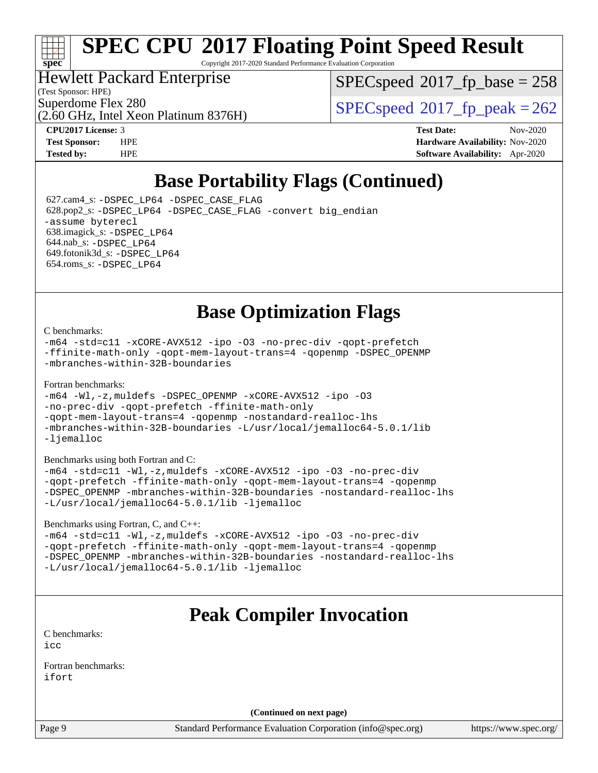# **[spec](http://www.spec.org/)**

# **[SPEC CPU](http://www.spec.org/auto/cpu2017/Docs/result-fields.html#SPECCPU2017FloatingPointSpeedResult)[2017 Floating Point Speed Result](http://www.spec.org/auto/cpu2017/Docs/result-fields.html#SPECCPU2017FloatingPointSpeedResult)**

Copyright 2017-2020 Standard Performance Evaluation Corporation

#### Hewlett Packard Enterprise

(Test Sponsor: HPE)

[SPECspeed](http://www.spec.org/auto/cpu2017/Docs/result-fields.html#SPECspeed2017fpbase)<sup>®</sup>2017 fp base = 258

(2.60 GHz, Intel Xeon Platinum 8376H)

Superdome Flex 280<br>  $SPEC speed^{\circ}2017$  fp\_peak = 262

**[CPU2017 License:](http://www.spec.org/auto/cpu2017/Docs/result-fields.html#CPU2017License)** 3 **[Test Date:](http://www.spec.org/auto/cpu2017/Docs/result-fields.html#TestDate)** Nov-2020 **[Test Sponsor:](http://www.spec.org/auto/cpu2017/Docs/result-fields.html#TestSponsor)** HPE **[Hardware Availability:](http://www.spec.org/auto/cpu2017/Docs/result-fields.html#HardwareAvailability)** Nov-2020 **[Tested by:](http://www.spec.org/auto/cpu2017/Docs/result-fields.html#Testedby)** HPE **[Software Availability:](http://www.spec.org/auto/cpu2017/Docs/result-fields.html#SoftwareAvailability)** Apr-2020

### **[Base Portability Flags \(Continued\)](http://www.spec.org/auto/cpu2017/Docs/result-fields.html#BasePortabilityFlags)**

 627.cam4\_s: [-DSPEC\\_LP64](http://www.spec.org/cpu2017/results/res2020q4/cpu2017-20201123-24428.flags.html#suite_basePORTABILITY627_cam4_s_DSPEC_LP64) [-DSPEC\\_CASE\\_FLAG](http://www.spec.org/cpu2017/results/res2020q4/cpu2017-20201123-24428.flags.html#b627.cam4_s_baseCPORTABILITY_DSPEC_CASE_FLAG) 628.pop2\_s: [-DSPEC\\_LP64](http://www.spec.org/cpu2017/results/res2020q4/cpu2017-20201123-24428.flags.html#suite_basePORTABILITY628_pop2_s_DSPEC_LP64) [-DSPEC\\_CASE\\_FLAG](http://www.spec.org/cpu2017/results/res2020q4/cpu2017-20201123-24428.flags.html#b628.pop2_s_baseCPORTABILITY_DSPEC_CASE_FLAG) [-convert big\\_endian](http://www.spec.org/cpu2017/results/res2020q4/cpu2017-20201123-24428.flags.html#user_baseFPORTABILITY628_pop2_s_convert_big_endian_c3194028bc08c63ac5d04de18c48ce6d347e4e562e8892b8bdbdc0214820426deb8554edfa529a3fb25a586e65a3d812c835984020483e7e73212c4d31a38223) [-assume byterecl](http://www.spec.org/cpu2017/results/res2020q4/cpu2017-20201123-24428.flags.html#user_baseFPORTABILITY628_pop2_s_assume_byterecl_7e47d18b9513cf18525430bbf0f2177aa9bf368bc7a059c09b2c06a34b53bd3447c950d3f8d6c70e3faf3a05c8557d66a5798b567902e8849adc142926523472) 638.imagick\_s: [-DSPEC\\_LP64](http://www.spec.org/cpu2017/results/res2020q4/cpu2017-20201123-24428.flags.html#suite_basePORTABILITY638_imagick_s_DSPEC_LP64) 644.nab\_s: [-DSPEC\\_LP64](http://www.spec.org/cpu2017/results/res2020q4/cpu2017-20201123-24428.flags.html#suite_basePORTABILITY644_nab_s_DSPEC_LP64) 649.fotonik3d\_s: [-DSPEC\\_LP64](http://www.spec.org/cpu2017/results/res2020q4/cpu2017-20201123-24428.flags.html#suite_basePORTABILITY649_fotonik3d_s_DSPEC_LP64) 654.roms\_s: [-DSPEC\\_LP64](http://www.spec.org/cpu2017/results/res2020q4/cpu2017-20201123-24428.flags.html#suite_basePORTABILITY654_roms_s_DSPEC_LP64)

### **[Base Optimization Flags](http://www.spec.org/auto/cpu2017/Docs/result-fields.html#BaseOptimizationFlags)**

#### [C benchmarks](http://www.spec.org/auto/cpu2017/Docs/result-fields.html#Cbenchmarks):

[-m64](http://www.spec.org/cpu2017/results/res2020q4/cpu2017-20201123-24428.flags.html#user_CCbase_m64-icc) [-std=c11](http://www.spec.org/cpu2017/results/res2020q4/cpu2017-20201123-24428.flags.html#user_CCbase_std-icc-std_0e1c27790398a4642dfca32ffe6c27b5796f9c2d2676156f2e42c9c44eaad0c049b1cdb667a270c34d979996257aeb8fc440bfb01818dbc9357bd9d174cb8524) [-xCORE-AVX512](http://www.spec.org/cpu2017/results/res2020q4/cpu2017-20201123-24428.flags.html#user_CCbase_f-xCORE-AVX512) [-ipo](http://www.spec.org/cpu2017/results/res2020q4/cpu2017-20201123-24428.flags.html#user_CCbase_f-ipo) [-O3](http://www.spec.org/cpu2017/results/res2020q4/cpu2017-20201123-24428.flags.html#user_CCbase_f-O3) [-no-prec-div](http://www.spec.org/cpu2017/results/res2020q4/cpu2017-20201123-24428.flags.html#user_CCbase_f-no-prec-div) [-qopt-prefetch](http://www.spec.org/cpu2017/results/res2020q4/cpu2017-20201123-24428.flags.html#user_CCbase_f-qopt-prefetch) [-ffinite-math-only](http://www.spec.org/cpu2017/results/res2020q4/cpu2017-20201123-24428.flags.html#user_CCbase_f_finite_math_only_cb91587bd2077682c4b38af759c288ed7c732db004271a9512da14a4f8007909a5f1427ecbf1a0fb78ff2a814402c6114ac565ca162485bbcae155b5e4258871) [-qopt-mem-layout-trans=4](http://www.spec.org/cpu2017/results/res2020q4/cpu2017-20201123-24428.flags.html#user_CCbase_f-qopt-mem-layout-trans_fa39e755916c150a61361b7846f310bcdf6f04e385ef281cadf3647acec3f0ae266d1a1d22d972a7087a248fd4e6ca390a3634700869573d231a252c784941a8) [-qopenmp](http://www.spec.org/cpu2017/results/res2020q4/cpu2017-20201123-24428.flags.html#user_CCbase_qopenmp_16be0c44f24f464004c6784a7acb94aca937f053568ce72f94b139a11c7c168634a55f6653758ddd83bcf7b8463e8028bb0b48b77bcddc6b78d5d95bb1df2967) [-DSPEC\\_OPENMP](http://www.spec.org/cpu2017/results/res2020q4/cpu2017-20201123-24428.flags.html#suite_CCbase_DSPEC_OPENMP) [-mbranches-within-32B-boundaries](http://www.spec.org/cpu2017/results/res2020q4/cpu2017-20201123-24428.flags.html#user_CCbase_f-mbranches-within-32B-boundaries)

#### [Fortran benchmarks](http://www.spec.org/auto/cpu2017/Docs/result-fields.html#Fortranbenchmarks):

```
-m64 -Wl,-z,muldefs -DSPEC_OPENMP -xCORE-AVX512 -ipo -O3
-no-prec-div -qopt-prefetch -ffinite-math-only
-qopt-mem-layout-trans=4 -qopenmp -nostandard-realloc-lhs
-mbranches-within-32B-boundaries -L/usr/local/jemalloc64-5.0.1/lib
-ljemalloc
```
[Benchmarks using both Fortran and C](http://www.spec.org/auto/cpu2017/Docs/result-fields.html#BenchmarksusingbothFortranandC):

```
-m64 -std=c11 -Wl,-z,muldefs -xCORE-AVX512 -ipo -O3 -no-prec-div
-qopt-prefetch -ffinite-math-only -qopt-mem-layout-trans=4 -qopenmp
-DSPEC_OPENMP -mbranches-within-32B-boundaries -nostandard-realloc-lhs
-L/usr/local/jemalloc64-5.0.1/lib -ljemalloc
```
[Benchmarks using Fortran, C, and C++:](http://www.spec.org/auto/cpu2017/Docs/result-fields.html#BenchmarksusingFortranCandCXX)

```
-m64 -std=c11 -Wl,-z,muldefs -xCORE-AVX512 -ipo -O3 -no-prec-div
-qopt-prefetch -ffinite-math-only -qopt-mem-layout-trans=4 -qopenmp
-DSPEC_OPENMP -mbranches-within-32B-boundaries -nostandard-realloc-lhs
-L/usr/local/jemalloc64-5.0.1/lib -ljemalloc
```
### **[Peak Compiler Invocation](http://www.spec.org/auto/cpu2017/Docs/result-fields.html#PeakCompilerInvocation)**

[C benchmarks](http://www.spec.org/auto/cpu2017/Docs/result-fields.html#Cbenchmarks): [icc](http://www.spec.org/cpu2017/results/res2020q4/cpu2017-20201123-24428.flags.html#user_CCpeak_intel_icc_66fc1ee009f7361af1fbd72ca7dcefbb700085f36577c54f309893dd4ec40d12360134090235512931783d35fd58c0460139e722d5067c5574d8eaf2b3e37e92)

[Fortran benchmarks](http://www.spec.org/auto/cpu2017/Docs/result-fields.html#Fortranbenchmarks): [ifort](http://www.spec.org/cpu2017/results/res2020q4/cpu2017-20201123-24428.flags.html#user_FCpeak_intel_ifort_8111460550e3ca792625aed983ce982f94888b8b503583aa7ba2b8303487b4d8a21a13e7191a45c5fd58ff318f48f9492884d4413fa793fd88dd292cad7027ca)

**(Continued on next page)**

Page 9 Standard Performance Evaluation Corporation [\(info@spec.org\)](mailto:info@spec.org) <https://www.spec.org/>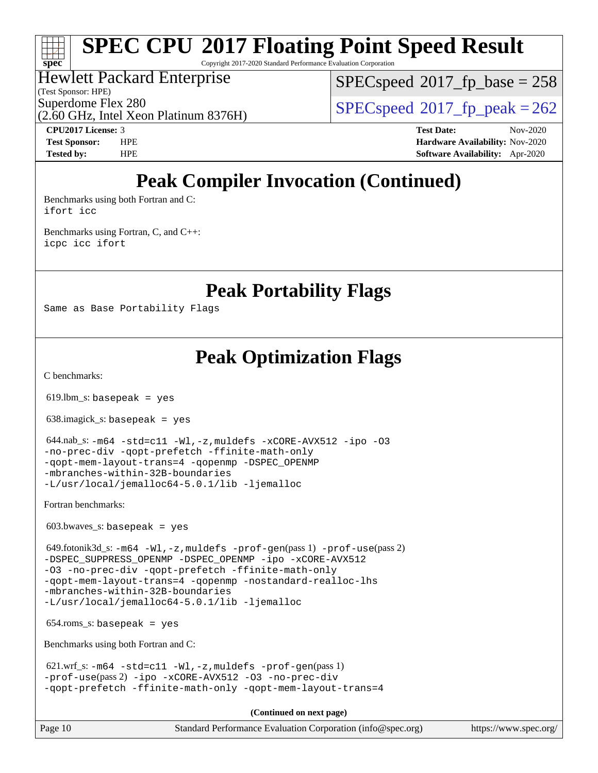Copyright 2017-2020 Standard Performance Evaluation Corporation

#### Hewlett Packard Enterprise

(2.60 GHz, Intel Xeon Platinum 8376H)

(Test Sponsor: HPE)

**[spec](http://www.spec.org/)**

[SPECspeed](http://www.spec.org/auto/cpu2017/Docs/result-fields.html#SPECspeed2017fpbase)<sup>®</sup>2017 fp base = 258

Superdome Flex 280<br>  $SPEC speed^{\circ}2017$  fp\_peak = 262

**[CPU2017 License:](http://www.spec.org/auto/cpu2017/Docs/result-fields.html#CPU2017License)** 3 **[Test Date:](http://www.spec.org/auto/cpu2017/Docs/result-fields.html#TestDate)** Nov-2020 **[Test Sponsor:](http://www.spec.org/auto/cpu2017/Docs/result-fields.html#TestSponsor)** HPE **[Hardware Availability:](http://www.spec.org/auto/cpu2017/Docs/result-fields.html#HardwareAvailability)** Nov-2020 **[Tested by:](http://www.spec.org/auto/cpu2017/Docs/result-fields.html#Testedby)** HPE **[Software Availability:](http://www.spec.org/auto/cpu2017/Docs/result-fields.html#SoftwareAvailability)** Apr-2020

### **[Peak Compiler Invocation \(Continued\)](http://www.spec.org/auto/cpu2017/Docs/result-fields.html#PeakCompilerInvocation)**

[Benchmarks using both Fortran and C](http://www.spec.org/auto/cpu2017/Docs/result-fields.html#BenchmarksusingbothFortranandC): [ifort](http://www.spec.org/cpu2017/results/res2020q4/cpu2017-20201123-24428.flags.html#user_CC_FCpeak_intel_ifort_8111460550e3ca792625aed983ce982f94888b8b503583aa7ba2b8303487b4d8a21a13e7191a45c5fd58ff318f48f9492884d4413fa793fd88dd292cad7027ca) [icc](http://www.spec.org/cpu2017/results/res2020q4/cpu2017-20201123-24428.flags.html#user_CC_FCpeak_intel_icc_66fc1ee009f7361af1fbd72ca7dcefbb700085f36577c54f309893dd4ec40d12360134090235512931783d35fd58c0460139e722d5067c5574d8eaf2b3e37e92)

[Benchmarks using Fortran, C, and C++:](http://www.spec.org/auto/cpu2017/Docs/result-fields.html#BenchmarksusingFortranCandCXX) [icpc](http://www.spec.org/cpu2017/results/res2020q4/cpu2017-20201123-24428.flags.html#user_CC_CXX_FCpeak_intel_icpc_c510b6838c7f56d33e37e94d029a35b4a7bccf4766a728ee175e80a419847e808290a9b78be685c44ab727ea267ec2f070ec5dc83b407c0218cded6866a35d07) [icc](http://www.spec.org/cpu2017/results/res2020q4/cpu2017-20201123-24428.flags.html#user_CC_CXX_FCpeak_intel_icc_66fc1ee009f7361af1fbd72ca7dcefbb700085f36577c54f309893dd4ec40d12360134090235512931783d35fd58c0460139e722d5067c5574d8eaf2b3e37e92) [ifort](http://www.spec.org/cpu2017/results/res2020q4/cpu2017-20201123-24428.flags.html#user_CC_CXX_FCpeak_intel_ifort_8111460550e3ca792625aed983ce982f94888b8b503583aa7ba2b8303487b4d8a21a13e7191a45c5fd58ff318f48f9492884d4413fa793fd88dd292cad7027ca)

### **[Peak Portability Flags](http://www.spec.org/auto/cpu2017/Docs/result-fields.html#PeakPortabilityFlags)**

Same as Base Portability Flags

### **[Peak Optimization Flags](http://www.spec.org/auto/cpu2017/Docs/result-fields.html#PeakOptimizationFlags)**

[C benchmarks](http://www.spec.org/auto/cpu2017/Docs/result-fields.html#Cbenchmarks):

619.lbm\_s: basepeak = yes

638.imagick\_s: basepeak = yes

```
 644.nab_s: -m64 -std=c11 -Wl,-z,muldefs -xCORE-AVX512 -ipo -O3
-no-prec-div -qopt-prefetch -ffinite-math-only
-qopt-mem-layout-trans=4 -qopenmp -DSPEC_OPENMP
-mbranches-within-32B-boundaries
-L/usr/local/jemalloc64-5.0.1/lib -ljemalloc
```
[Fortran benchmarks](http://www.spec.org/auto/cpu2017/Docs/result-fields.html#Fortranbenchmarks):

 $603.bwaves$  s: basepeak = yes

 649.fotonik3d\_s: [-m64](http://www.spec.org/cpu2017/results/res2020q4/cpu2017-20201123-24428.flags.html#user_peakFCLD649_fotonik3d_s_m64-icc) [-Wl,-z,muldefs](http://www.spec.org/cpu2017/results/res2020q4/cpu2017-20201123-24428.flags.html#user_peakEXTRA_LDFLAGS649_fotonik3d_s_link_force_multiple1_b4cbdb97b34bdee9ceefcfe54f4c8ea74255f0b02a4b23e853cdb0e18eb4525ac79b5a88067c842dd0ee6996c24547a27a4b99331201badda8798ef8a743f577) [-prof-gen](http://www.spec.org/cpu2017/results/res2020q4/cpu2017-20201123-24428.flags.html#user_peakPASS1_FFLAGSPASS1_LDFLAGS649_fotonik3d_s_prof_gen_5aa4926d6013ddb2a31985c654b3eb18169fc0c6952a63635c234f711e6e63dd76e94ad52365559451ec499a2cdb89e4dc58ba4c67ef54ca681ffbe1461d6b36)(pass 1) [-prof-use](http://www.spec.org/cpu2017/results/res2020q4/cpu2017-20201123-24428.flags.html#user_peakPASS2_FFLAGSPASS2_LDFLAGS649_fotonik3d_s_prof_use_1a21ceae95f36a2b53c25747139a6c16ca95bd9def2a207b4f0849963b97e94f5260e30a0c64f4bb623698870e679ca08317ef8150905d41bd88c6f78df73f19)(pass 2) [-DSPEC\\_SUPPRESS\\_OPENMP](http://www.spec.org/cpu2017/results/res2020q4/cpu2017-20201123-24428.flags.html#suite_peakPASS1_FOPTIMIZE649_fotonik3d_s_DSPEC_SUPPRESS_OPENMP) [-DSPEC\\_OPENMP](http://www.spec.org/cpu2017/results/res2020q4/cpu2017-20201123-24428.flags.html#suite_peakPASS2_FOPTIMIZE649_fotonik3d_s_DSPEC_OPENMP) [-ipo](http://www.spec.org/cpu2017/results/res2020q4/cpu2017-20201123-24428.flags.html#user_peakPASS1_FOPTIMIZEPASS2_FOPTIMIZE649_fotonik3d_s_f-ipo) [-xCORE-AVX512](http://www.spec.org/cpu2017/results/res2020q4/cpu2017-20201123-24428.flags.html#user_peakPASS2_FOPTIMIZE649_fotonik3d_s_f-xCORE-AVX512) [-O3](http://www.spec.org/cpu2017/results/res2020q4/cpu2017-20201123-24428.flags.html#user_peakPASS1_FOPTIMIZEPASS2_FOPTIMIZE649_fotonik3d_s_f-O3) [-no-prec-div](http://www.spec.org/cpu2017/results/res2020q4/cpu2017-20201123-24428.flags.html#user_peakPASS1_FOPTIMIZEPASS2_FOPTIMIZE649_fotonik3d_s_f-no-prec-div) [-qopt-prefetch](http://www.spec.org/cpu2017/results/res2020q4/cpu2017-20201123-24428.flags.html#user_peakPASS1_FOPTIMIZEPASS2_FOPTIMIZE649_fotonik3d_s_f-qopt-prefetch) [-ffinite-math-only](http://www.spec.org/cpu2017/results/res2020q4/cpu2017-20201123-24428.flags.html#user_peakPASS1_FOPTIMIZEPASS2_FOPTIMIZE649_fotonik3d_s_f_finite_math_only_cb91587bd2077682c4b38af759c288ed7c732db004271a9512da14a4f8007909a5f1427ecbf1a0fb78ff2a814402c6114ac565ca162485bbcae155b5e4258871) [-qopt-mem-layout-trans=4](http://www.spec.org/cpu2017/results/res2020q4/cpu2017-20201123-24428.flags.html#user_peakPASS1_FOPTIMIZEPASS2_FOPTIMIZE649_fotonik3d_s_f-qopt-mem-layout-trans_fa39e755916c150a61361b7846f310bcdf6f04e385ef281cadf3647acec3f0ae266d1a1d22d972a7087a248fd4e6ca390a3634700869573d231a252c784941a8) [-qopenmp](http://www.spec.org/cpu2017/results/res2020q4/cpu2017-20201123-24428.flags.html#user_peakPASS2_FOPTIMIZE649_fotonik3d_s_qopenmp_16be0c44f24f464004c6784a7acb94aca937f053568ce72f94b139a11c7c168634a55f6653758ddd83bcf7b8463e8028bb0b48b77bcddc6b78d5d95bb1df2967) [-nostandard-realloc-lhs](http://www.spec.org/cpu2017/results/res2020q4/cpu2017-20201123-24428.flags.html#user_peakEXTRA_FOPTIMIZE649_fotonik3d_s_f_2003_std_realloc_82b4557e90729c0f113870c07e44d33d6f5a304b4f63d4c15d2d0f1fab99f5daaed73bdb9275d9ae411527f28b936061aa8b9c8f2d63842963b95c9dd6426b8a) [-mbranches-within-32B-boundaries](http://www.spec.org/cpu2017/results/res2020q4/cpu2017-20201123-24428.flags.html#user_peakEXTRA_FOPTIMIZE649_fotonik3d_s_f-mbranches-within-32B-boundaries) [-L/usr/local/jemalloc64-5.0.1/lib](http://www.spec.org/cpu2017/results/res2020q4/cpu2017-20201123-24428.flags.html#user_peakEXTRA_LIBS649_fotonik3d_s_jemalloc_link_path64_1_cc289568b1a6c0fd3b62c91b824c27fcb5af5e8098e6ad028160d21144ef1b8aef3170d2acf0bee98a8da324cfe4f67d0a3d0c4cc4673d993d694dc2a0df248b) [-ljemalloc](http://www.spec.org/cpu2017/results/res2020q4/cpu2017-20201123-24428.flags.html#user_peakEXTRA_LIBS649_fotonik3d_s_jemalloc_link_lib_d1249b907c500fa1c0672f44f562e3d0f79738ae9e3c4a9c376d49f265a04b9c99b167ecedbf6711b3085be911c67ff61f150a17b3472be731631ba4d0471706)

654.roms\_s: basepeak = yes

[Benchmarks using both Fortran and C](http://www.spec.org/auto/cpu2017/Docs/result-fields.html#BenchmarksusingbothFortranandC):

```
-m64 - std = c11 -W1, -z, multdefs -prof-qen(pass 1)-prof-use(pass 2) -ipo -xCORE-AVX512 -O3 -no-prec-div
-qopt-prefetch -ffinite-math-only -qopt-mem-layout-trans=4
```
**(Continued on next page)**